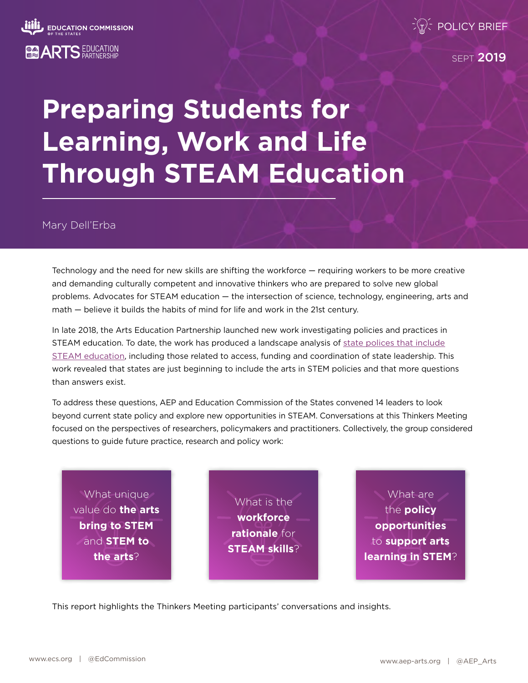

**SEPT 2019** 

# **Preparing Students for Learning, Work and Life Through STEAM Education**

Mary Dell'Erba

Technology and the need for new skills are shifting the workforce — requiring workers to be more creative and demanding culturally competent and innovative thinkers who are prepared to solve new global problems. Advocates for STEAM education — the intersection of science, technology, engineering, arts and math — believe it builds the habits of mind for life and work in the 21st century.

In late 2018, the Arts Education Partnership launched new work investigating policies and practices in STEAM education. To date, the work has produced a landscape analysis of [state polices that include](https://www.ecs.org/policy-considerations-for-steam-education/) [STEAM education,](https://www.ecs.org/policy-considerations-for-steam-education/) including those related to access, funding and coordination of state leadership. This work revealed that states are just beginning to include the arts in STEM policies and that more questions than answers exist.

To address these questions, AEP and Education Commission of the States convened 14 leaders to look beyond current state policy and explore new opportunities in STEAM. Conversations at this Thinkers Meeting focused on the perspectives of researchers, policymakers and practitioners. Collectively, the group considered questions to guide future practice, research and policy work:

What unique value do **the arts bring to STEM** and **STEM to the arts**?

What is the **workforce rationale** for **STEAM skills**?

What are the **policy opportunities** to **support arts learning in STEM**?

This report highlights the Thinkers Meeting participants' conversations and insights.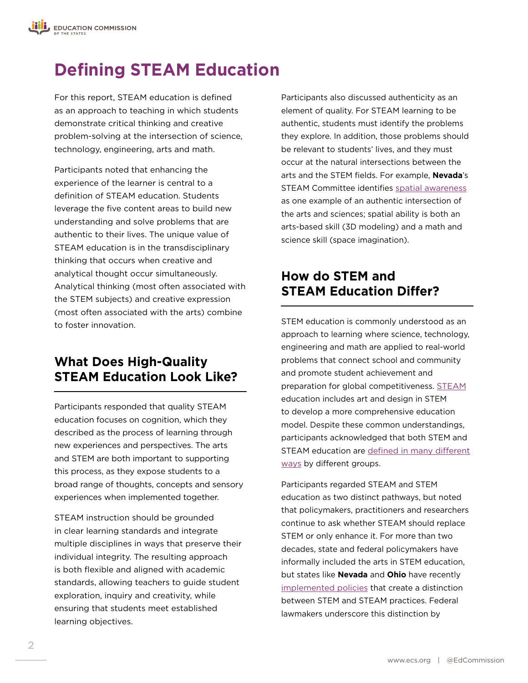## **Defining STEAM Education**

For this report, STEAM education is defined as an approach to teaching in which students demonstrate critical thinking and creative problem-solving at the intersection of science, technology, engineering, arts and math.

Participants noted that enhancing the experience of the learner is central to a definition of STEAM education. Students leverage the five content areas to build new understanding and solve problems that are authentic to their lives. The unique value of STEAM education is in the transdisciplinary thinking that occurs when creative and analytical thought occur simultaneously. Analytical thinking (most often associated with the STEM subjects) and creative expression (most often associated with the arts) combine to foster innovation.

### **What Does High-Quality STEAM Education Look Like?**

Participants responded that quality STEAM education focuses on cognition, which they described as the process of learning through new experiences and perspectives. The arts and STEM are both important to supporting this process, as they expose students to a broad range of thoughts, concepts and sensory experiences when implemented together.

STEAM instruction should be grounded in clear learning standards and integrate multiple disciplines in ways that preserve their individual integrity. The resulting approach is both flexible and aligned with academic standards, allowing teachers to guide student exploration, inquiry and creativity, while ensuring that students meet established learning objectives.

Participants also discussed authenticity as an element of quality. For STEAM learning to be authentic, students must identify the problems they explore. In addition, those problems should be relevant to students' lives, and they must occur at the natural intersections between the arts and the STEM fields. For example, **Nevada**'s STEAM Committee identifies [spatial awareness](http://osit.nv.gov/uploadedFiles/osit.nv.gov/Content/STEM/FINAL_DRAFT_STEAM_WP_4.10.18%20(POSTED-5-22).pdf) as one example of an authentic intersection of the arts and sciences; spatial ability is both an arts-based skill (3D modeling) and a math and science skill (space imagination).

### **How do STEM and STEAM Education Differ?**

STEM education is commonly understood as an approach to learning where science, technology, engineering and math are applied to real-world problems that connect school and community and promote student achievement and preparation for global competitiveness. STEAM education includes art and design in STEM to develop a more comprehensive education model. Despite these common understandings, participants acknowledged that both STEM and STEAM education are [defined in many different](https://www.cmu.edu/gelfand/documents/stem-survey-report-cmu-iu1.pdf) [ways](https://www.cmu.edu/gelfand/documents/stem-survey-report-cmu-iu1.pdf) by different groups.

Participants regarded STEAM and STEM education as two distinct pathways, but noted that policymakers, practitioners and researchers continue to ask whether STEAM should replace STEM or only enhance it. For more than two decades, state and federal policymakers have informally included the arts in STEM education, but states like **Nevada** and **Ohio** have recently [implemented policies](https://www.ecs.org/policy-considerations-for-steam-education/) that create a distinction between STEM and STEAM practices. Federal lawmakers underscore this distinction by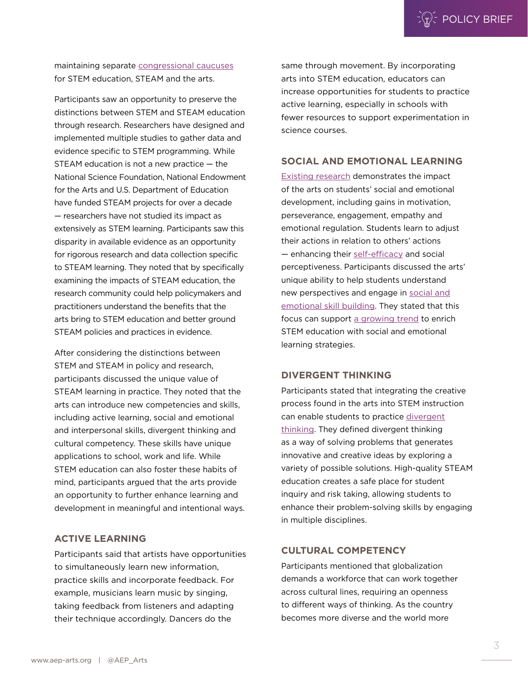maintaining separate [congressional caucuses](https://cha.house.gov/sites/democrats.cha.house.gov/files/documents/cmo_cso_docs/116th%20CMOs_06-03-2019.pdf) for STEM education, STEAM and the arts.

Participants saw an opportunity to preserve the distinctions between STEM and STEAM education through research. Researchers have designed and implemented multiple studies to gather data and evidence specific to STEM programming. While STEAM education is not a new practice — the National Science Foundation, National Endowment for the Arts and U.S. Department of Education have funded STEAM projects for over a decade — researchers have not studied its impact as extensively as STEM learning. Participants saw this disparity in available evidence as an opportunity for rigorous research and data collection specific to STEAM learning. They noted that by specifically examining the impacts of STEAM education, the research community could help policymakers and practitioners understand the benefits that the arts bring to STEM education and better ground STEAM policies and practices in evidence.

After considering the distinctions between STEM and STEAM in policy and research, participants discussed the unique value of STEAM learning in practice. They noted that the arts can introduce new competencies and skills, including active learning, social and emotional and interpersonal skills, divergent thinking and cultural competency. These skills have unique applications to school, work and life. While STEM education can also foster these habits of mind, participants argued that the arts provide an opportunity to further enhance learning and development in meaningful and intentional ways.

#### **ACTIVE LEARNING**

Participants said that artists have opportunities to simultaneously learn new information, practice skills and incorporate feedback. For example, musicians learn music by singing, taking feedback from listeners and adapting their technique accordingly. Dancers do the

same through movement. By incorporating arts into STEM education, educators can increase opportunities for students to practice active learning, especially in schools with fewer resources to support experimentation in science courses.

#### **SOCIAL AND EMOTIONAL LEARNING**

[Existing research](http://artsedsearch.wpengine.com/browse-research/?fwp_search=social+emotional) demonstrates the impact of the arts on students' social and emotional development, including gains in motivation, perseverance, engagement, empathy and emotional regulation. Students learn to adjust their actions in relation to others' actions — enhancing their [self-efficacy](https://www.artsedsearch.org/study/learning-in-the-visual-arts-and-the-worldviews-of-young-children/) and social perceptiveness. Participants discussed the arts' unique ability to help students understand new perspectives and engage in [social and](https://www.ecs.org/beyond-the-core-advancing-student-success-through-the-arts/) [emotional skill building.](https://www.ecs.org/beyond-the-core-advancing-student-success-through-the-arts/) They stated that this focus can support [a growing trend](https://100kin10.org/news/10-big-insights-on-teaching-learning-and-stem-education-100kin10-s-trends-report-for-2018) to enrich STEM education with social and emotional learning strategies.

#### **DIVERGENT THINKING**

Participants stated that integrating the creative process found in the arts into STEM instruction can enable students to practice [divergent](https://www.artsedsearch.org/study/enhancing-fluent-and-flexible-thinking-through-the-creative-drama-process/) [thinking](https://www.artsedsearch.org/study/enhancing-fluent-and-flexible-thinking-through-the-creative-drama-process/). They defined divergent thinking as a way of solving problems that generates innovative and creative ideas by exploring a variety of possible solutions. High-quality STEAM education creates a safe place for student inquiry and risk taking, allowing students to enhance their problem-solving skills by engaging in multiple disciplines.

#### **CULTURAL COMPETENCY**

Participants mentioned that globalization demands a workforce that can work together across cultural lines, requiring an openness to different ways of thinking. As the country becomes more diverse and the world more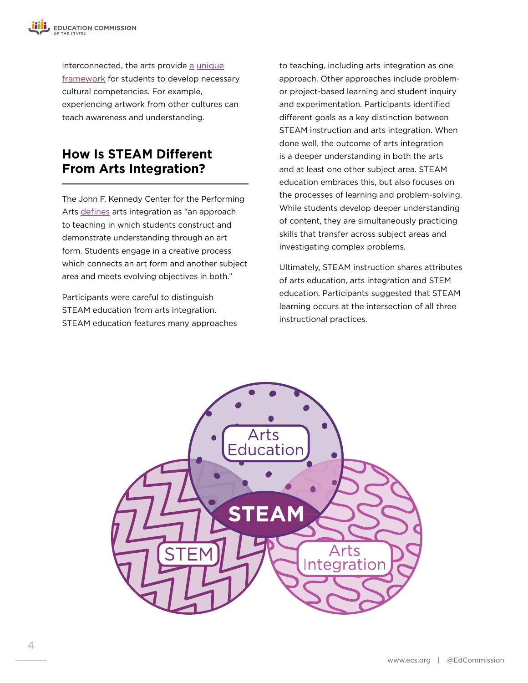interconnected, [the arts provide a](http://aeparts.staging.wpengine.com/wp-content/uploads/Preparing-Students-for-the-Next-America.pdf) unique [framework for students](http://aeparts.staging.wpengine.com/wp-content/uploads/Preparing-Students-for-the-Next-America.pdf) to develop necessary cultural competencies. For example, experiencing artwork from other cultures can teach awareness and understanding.

### **How Is STEAM Different From Arts Integration?**

The John F. Kennedy Center for the Performing Arts [defines](http://www.kennedy-center.org/education/partners/defining_arts_integration.pdf) arts integration as "an approach to teaching in which students construct and demonstrate understanding through an art form. Students engage in a creative process which connects an art form and another subject area and meets evolving objectives in both."

Participants were careful to distinguish STEAM education from arts integration. STEAM education features many approaches to teaching, including arts integration as one approach. Other approaches include problemor project-based learning and student inquiry and experimentation. Participants identified different goals as a key distinction between STEAM instruction and arts integration. When done well, the outcome of arts integration is a deeper understanding in both the arts and at least one other subject area. STEAM education embraces this, but also focuses on the processes of learning and problem-solving. While students develop deeper understanding of content, they are simultaneously practicing skills that transfer across subject areas and investigating complex problems.

Ultimately, STEAM instruction shares attributes of arts education, arts integration and STEM education. Participants suggested that STEAM learning occurs at the intersection of all three instructional practices.

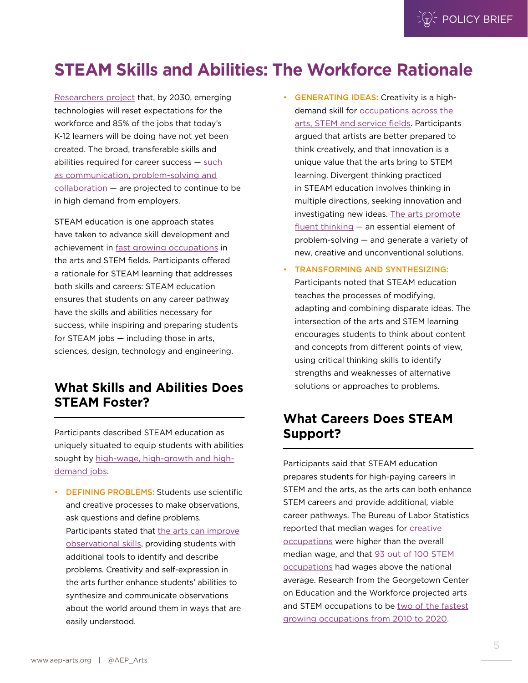$\mathbb{R}^2$  POLICY BRIEF

## **STEAM Skills and Abilities: The Workforce Rationale**

[Researchers project](http://www.iftf.org/fileadmin/user_upload/downloads/th/SR1940_IFTFforDellTechnologies_Human-Machine_070717_readerhigh-res.pdf) that, by 2030, emerging technologies will reset expectations for the workforce and 85% of the jobs that today's K-12 learners will be doing have not yet been created. The broad, transferable skills and abilities required for career success — [such](http://cew.georgetown.edu/wp-content/uploads/Competencies-handout.pdf) [as communication, problem-solving and](http://cew.georgetown.edu/wp-content/uploads/Competencies-handout.pdf) [collaboration](http://cew.georgetown.edu/wp-content/uploads/Competencies-handout.pdf) — are projected to continue to be in high demand from employers.

STEAM education is one approach states have taken to advance skill development and achievement in [fast growing occupations](https://1gyhoq479ufd3yna29x7ubjn-wpengine.netdna-ssl.com/wp-content/uploads/2014/11/Recovery2020.FR_.Web_.pdf) in the arts and STEM fields. Participants offered a rationale for STEAM learning that addresses both skills and careers: STEAM education ensures that students on any career pathway have the skills and abilities necessary for success, while inspiring and preparing students for STEAM jobs — including those in arts, sciences, design, technology and engineering.

### **What Skills and Abilities Does STEAM Foster?**

Participants described STEAM education as uniquely situated to equip students with abilities sought by [high-wage, high-growth and high](https://1gyhoq479ufd3yna29x7ubjn-wpengine.netdna-ssl.com/wp-content/uploads/2014/11/Recovery2020.FR_.Web_.pdf)[demand jobs](https://1gyhoq479ufd3yna29x7ubjn-wpengine.netdna-ssl.com/wp-content/uploads/2014/11/Recovery2020.FR_.Web_.pdf).

• DEFINING PROBLEMS: Students use scientific and creative processes to make observations, ask questions and define problems. Participants stated tha[t the arts can improve](https://www.artsedsearch.org/study/looking-is-not-seeing-using-art-to-improve-observational-skills/) [observational skills,](https://www.artsedsearch.org/study/looking-is-not-seeing-using-art-to-improve-observational-skills/) providing students with additional tools to identify and describe problems. Creativity and self-expression in the arts further enhance students' abilities to synthesize and communicate observations about the world around them in ways that are easily understood.

- GENERATING IDEAS: Creativity is a highdemand skill for [occupations across the](https://www.onetonline.org/find/result?s=creative&a=1) [arts, STEM and service fields](https://www.onetonline.org/find/result?s=creative&a=1). Participants argued that artists are better prepared to think creatively, and that innovation is a unique value that the arts bring to STEM learning. Divergent thinking practiced in STEAM education involves thinking in multiple directions, seeking innovation and investigating new ideas. [The arts promote](https://www.artsedsearch.org/study/enhancing-fluent-and-flexible-thinking-through-the-creative-drama-process/) [fluent](https://www.artsedsearch.org/study/enhancing-fluent-and-flexible-thinking-through-the-creative-drama-process/) thinking — an essential element of problem-solving — and generate a variety of new, creative and unconventional solutions.
- TRANSFORMING AND SYNTHESIZING: Participants noted that STEAM education teaches the processes of modifying, adapting and combining disparate ideas. The intersection of the arts and STEM learning encourages students to think about content and concepts from different points of view, using critical thinking skills to identify strengths and weaknesses of alternative solutions or approaches to problems.

### **What Careers Does STEAM Support?**

Participants said that STEAM education prepares students for high-paying careers in STEM and the arts, as the arts can both enhance STEM careers and provide additional, viable career pathways. The Bureau of Labor Statistics reported that median wages for [creative](https://www.bls.gov/careeroutlook/2015/article/creative-careers.htm) [occupations](https://www.bls.gov/careeroutlook/2015/article/creative-careers.htm) were higher than the overall median wage, and that [93 out of 100 STEM](https://www.bls.gov/spotlight/2017/science-technology-engineering-and-mathematics-stem-occupations-past-present-and-future/pdf/science-technology-engineering-and-mathematics-stem-occupations-past-present-and-future.pdf) [occupations](https://www.bls.gov/spotlight/2017/science-technology-engineering-and-mathematics-stem-occupations-past-present-and-future/pdf/science-technology-engineering-and-mathematics-stem-occupations-past-present-and-future.pdf) had wages above the national average. Research from the Georgetown Center on Education and the Workforce projected arts and STEM occupations to be [two of the fastest](https://1gyhoq479ufd3yna29x7ubjn-wpengine.netdna-ssl.com/wp-content/uploads/2014/11/Recovery2020.FR_.Web_.pdf) [growing occupations from 2010 to 2020.](https://1gyhoq479ufd3yna29x7ubjn-wpengine.netdna-ssl.com/wp-content/uploads/2014/11/Recovery2020.FR_.Web_.pdf)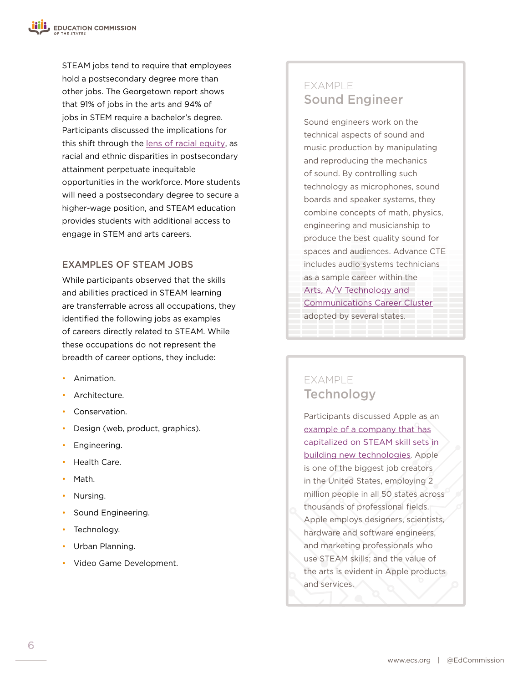STEAM jobs tend to require that employees hold a postsecondary degree more than other jobs. The Georgetown report shows that 91% of jobs in the arts and 94% of jobs in STEM require a bachelor's degree. Participants discussed the implications for this shift through the [lens of racial equity](http://cew.georgetown.edu/wp-content/uploads/SeparateUnequal.FR_.pdf), as racial and ethnic disparities in postsecondary attainment perpetuate inequitable opportunities in the workforce. More students will need a postsecondary degree to secure a higher-wage position, and STEAM education provides students with additional access to engage in STEM and arts careers.

#### EXAMPLES OF STEAM JOBS

While participants observed that the skills and abilities practiced in STEAM learning are transferrable across all occupations, they identified the following jobs as examples of careers directly related to STEAM. While these occupations do not represent the breadth of career options, they include:

- Animation.
- Architecture.
- Conservation.
- Design (web, product, graphics).
- Engineering.
- Health Care.
- Math.
- Nursing.
- Sound Engineering.
- Technology.
- Urban Planning.
- Video Game Development.

### EXAMPLE Sound Engineer

Sound engineers work on the technical aspects of sound and music production by manipulating and reproducing the mechanics of sound. By controlling such technology as microphones, sound boards and speaker systems, they combine concepts of math, physics, engineering and musicianship to produce the best quality sound for spaces and audiences. Advance CTE includes audio systems technicians as a sample career within the Arts, A/V [Technology and](https://careertech.org/arts) [Communications Career Cluster](https://careertech.org/arts) adopted by several states.

### EXAMPLE **Technology**

Participants discussed Apple as an [example of a company that has](https://www.apple.com/job-creation/) [capitalized on STEAM skill sets](https://www.apple.com/job-creation/) in building new technologies. Apple is one of the biggest job creators in the United States, employing 2 million people in all 50 states across thousands of professional fields. Apple employs designers, scientists, hardware and software engineers, and marketing professionals who use STEAM skills; and the value of the arts is evident in Apple products and services.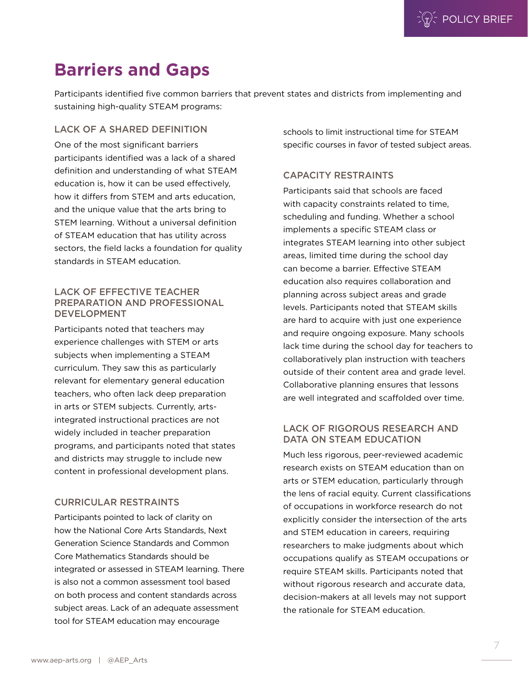## **Barriers and Gaps**

Participants identified five common barriers that prevent states and districts from implementing and sustaining high-quality STEAM programs:

#### LACK OF A SHARED DEFINITION

One of the most significant barriers participants identified was a lack of a shared definition and understanding of what STEAM education is, how it can be used effectively, how it differs from STEM and arts education, and the unique value that the arts bring to STEM learning. Without a universal definition of STEAM education that has utility across sectors, the field lacks a foundation for quality standards in STEAM education.

#### LACK OF EFFECTIVE TEACHER PREPARATION AND PROFESSIONAL DEVELOPMENT

Participants noted that teachers may experience challenges with STEM or arts subjects when implementing a STEAM curriculum. They saw this as particularly relevant for elementary general education teachers, who often lack deep preparation in arts or STEM subjects. Currently, artsintegrated instructional practices are not widely included in teacher preparation programs, and participants noted that states and districts may struggle to include new content in professional development plans.

#### CURRICULAR RESTRAINTS

Participants pointed to lack of clarity on how the National Core Arts Standards, Next Generation Science Standards and Common Core Mathematics Standards should be integrated or assessed in STEAM learning. There is also not a common assessment tool based on both process and content standards across subject areas. Lack of an adequate assessment tool for STEAM education may encourage

schools to limit instructional time for STEAM specific courses in favor of tested subject areas.

#### CAPACITY RESTRAINTS

Participants said that schools are faced with capacity constraints related to time, scheduling and funding. Whether a school implements a specific STEAM class or integrates STEAM learning into other subject areas, limited time during the school day can become a barrier. Effective STEAM education also requires collaboration and planning across subject areas and grade levels. Participants noted that STEAM skills are hard to acquire with just one experience and require ongoing exposure. Many schools lack time during the school day for teachers to collaboratively plan instruction with teachers outside of their content area and grade level. Collaborative planning ensures that lessons are well integrated and scaffolded over time.

#### LACK OF RIGOROUS RESEARCH AND DATA ON STEAM EDUCATION

Much less rigorous, peer-reviewed academic research exists on STEAM education than on arts or STEM education, particularly through the lens of racial equity. Current classifications of occupations in workforce research do not explicitly consider the intersection of the arts and STEM education in careers, requiring researchers to make judgments about which occupations qualify as STEAM occupations or require STEAM skills. Participants noted that without rigorous research and accurate data, decision-makers at all levels may not support the rationale for STEAM education.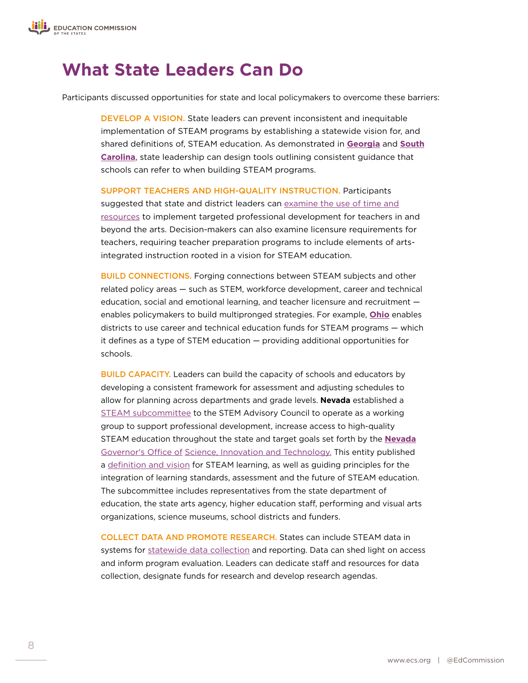

## **What State Leaders Can Do**

Participants discussed opportunities for state and local policymakers to overcome these barriers:

DEVELOP A VISION. State leaders can prevent inconsistent and inequitable implementation of STEAM programs by establishing a statewide vision for, and shared definitions of, STEAM education. As demonstrated in **[Georgia](http://www.stemgeorgia.org/certification/)** and **[South](https://www.csai-online.org/resources/south-carolina-steam-implementation-continuum) [Carolina](https://www.csai-online.org/resources/south-carolina-steam-implementation-continuum)**, state leadership can design tools outlining consistent guidance that schools can refer to when building STEAM programs.

SUPPORT TEACHERS AND HIGH-QUALITY INSTRUCTION. Participants suggested that state and district leaders can [examine the use of time and](https://www.ecs.org/what-school-leaders-can-do-to-increase-arts-education/) [resources](https://www.ecs.org/what-school-leaders-can-do-to-increase-arts-education/) to implement targeted professional development for teachers in and beyond the arts. Decision-makers can also examine licensure requirements for teachers, requiring teacher preparation programs to include elements of artsintegrated instruction rooted in a vision for STEAM education.

BUILD CONNECTIONS. Forging connections between STEAM subjects and other related policy areas — such as STEM, workforce development, career and technical education, social and emotional learning, and teacher licensure and recruitment enables policymakers to build multipronged strategies. For example, **[Ohio](http://codes.ohio.gov/orc/3326.39)** enables districts to use career and technical education funds for STEAM programs — which it defines as a type of STEM education — providing additional opportunities for schools.

BUILD CAPACITY. Leaders can build the capacity of schools and educators by developing a consistent framework for assessment and adjusting schedules to allow for planning across departments and grade levels. **Nevada** established a [STEAM subcommittee](http://osit.nv.gov/STEM/STEAM_Members/) to the STEM Advisory Council to operate as a working group to support professional development, increase access to high-quality STEAM education throughout the state and target goals set forth by the **[Nevada](http://osit.nv.gov/)** Governor's Office of [Science, Innovation and Technology.](http://osit.nv.gov/) This entity published a [definition and vision](http://osit.nv.gov/uploadedFiles/osit.nv.gov/Content/STEM/FINAL_DRAFT_STEAM_WP_4.10.18%20(POSTED-5-22).pdf) for STEAM learning, as well as guiding principles for the integration of learning standards, assessment and the future of STEAM education. The subcommittee includes representatives from the state department of education, the state arts agency, higher education staff, performing and visual arts organizations, science museums, school districts and funders.

COLLECT DATA AND PROMOTE RESEARCH. States can include STEAM data in systems for [statewide data collection](https://www.ecs.org/using-state-data-systems-to-create-an-information-culture-in-education/) and reporting. Data can shed light on access and inform program evaluation. Leaders can dedicate staff and resources for data collection, designate funds for research and develop research agendas.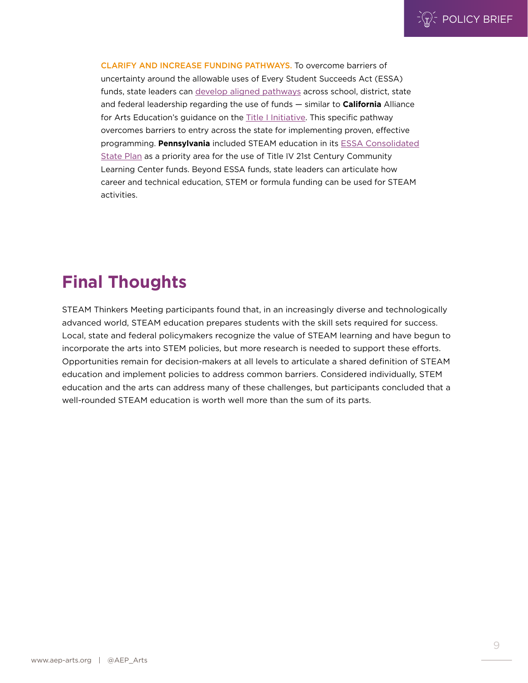CLARIFY AND INCREASE FUNDING PATHWAYS. To overcome barriers of uncertainty around the allowable uses of Every Student Succeeds Act (ESSA) funds, state leaders can [develop aligned pathways](http://www.aep-arts.org/wp-content/uploads/Success_Stories_Title-I_Final_10.25.17.pdf) across school, district, state and federal leadership regarding the use of funds — similar to **California** Alliance for Arts Education's guidance on the **Title I Initiative**. This specific pathway overcomes barriers to entry across the state for implementing proven, effective programming. **Pennsylvania** included STEAM education in its [ESSA Consolidated](https://www.education.pa.gov/Documents/K-12/ESSA/Resources/PA%20ESSA%20Consolidated%20State%20Plan%20Final.pdf) [State Plan](https://www.education.pa.gov/Documents/K-12/ESSA/Resources/PA%20ESSA%20Consolidated%20State%20Plan%20Final.pdf) as a priority area for the use of Title IV 21st Century Community Learning Center funds. Beyond ESSA funds, state leaders can articulate how career and technical education, STEM or formula funding can be used for STEAM activities.

## **Final Thoughts**

STEAM Thinkers Meeting participants found that, in an increasingly diverse and technologically advanced world, STEAM education prepares students with the skill sets required for success. Local, state and federal policymakers recognize the value of STEAM learning and have begun to incorporate the arts into STEM policies, but more research is needed to support these efforts. Opportunities remain for decision-makers at all levels to articulate a shared definition of STEAM education and implement policies to address common barriers. Considered individually, STEM education and the arts can address many of these challenges, but participants concluded that a well-rounded STEAM education is worth well more than the sum of its parts.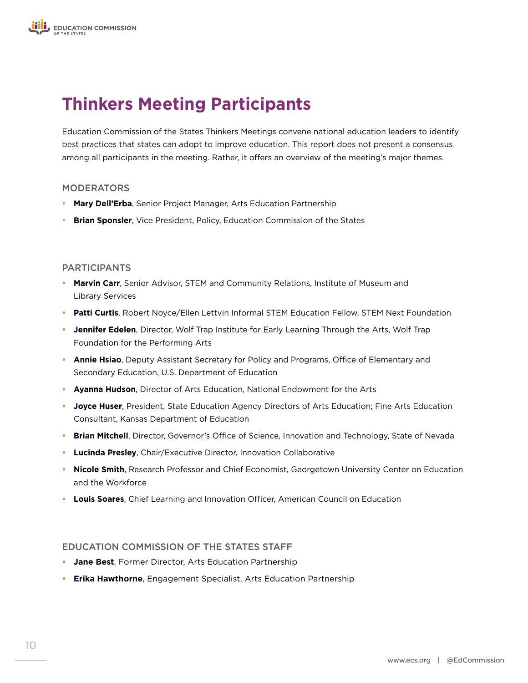## **Thinkers Meeting Participants**

Education Commission of the States Thinkers Meetings convene national education leaders to identify best practices that states can adopt to improve education. This report does not present a consensus among all participants in the meeting. Rather, it offers an overview of the meeting's major themes.

#### MODERATORS

- **Mary Dell'Erba**, Senior Project Manager, Arts Education Partnership
- **Brian Sponsler**, Vice President, Policy, Education Commission of the States

#### PARTICIPANTS

- **• Marvin Carr**, Senior Advisor, STEM and Community Relations, Institute of Museum and Library Services
- **• Patti Curtis**, Robert Noyce/Ellen Lettvin Informal STEM Education Fellow, STEM Next Foundation
- **• Jennifer Edelen**, Director, Wolf Trap Institute for Early Learning Through the Arts, Wolf Trap Foundation for the Performing Arts
- **• Annie Hsiao**, Deputy Assistant Secretary for Policy and Programs, Office of Elementary and Secondary Education, U.S. Department of Education
- **• Ayanna Hudson**, Director of Arts Education, National Endowment for the Arts
- **• Joyce Huser**, President, State Education Agency Directors of Arts Education; Fine Arts Education Consultant, Kansas Department of Education
- **• Brian Mitchell**, Director, Governor's Office of Science, Innovation and Technology, State of Nevada
- **• Lucinda Presley**, Chair/Executive Director, Innovation Collaborative
- **• Nicole Smith**, Research Professor and Chief Economist, Georgetown University Center on Education and the Workforce
- **• Louis Soares**, Chief Learning and Innovation Officer, American Council on Education

#### EDUCATION COMMISSION OF THE STATES STAFF

- **• Jane Best**, Former Director, Arts Education Partnership
- **• Erika Hawthorne**, Engagement Specialist, Arts Education Partnership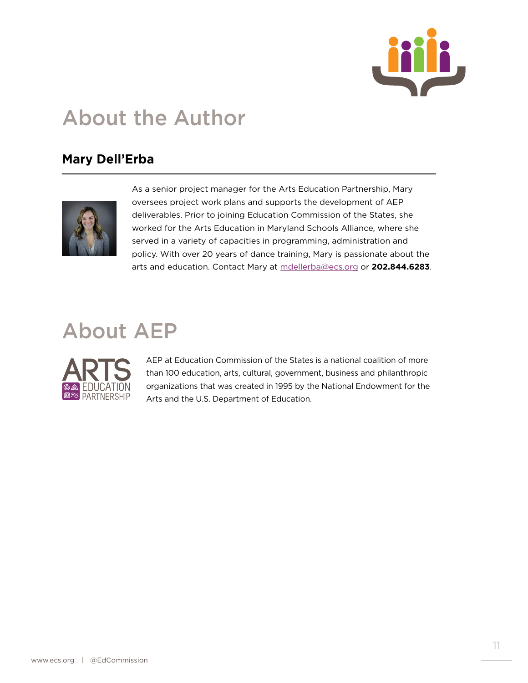

## About the Author

### **Mary Dell'Erba**



As a senior project manager for the Arts Education Partnership, Mary oversees project work plans and supports the development of AEP deliverables. Prior to joining Education Commission of the States, she worked for the Arts Education in Maryland Schools Alliance, where she served in a variety of capacities in programming, administration and policy. With over 20 years of dance training, Mary is passionate about the arts and education. Contact Mary at [mdellerba@ecs.org](mailto:mdellerba%40ecs.org?subject=) or **202.844.6283**.

## About AEP



AEP at Education Commission of the States is a national coalition of more than 100 education, arts, cultural, government, business and philanthropic organizations that was created in 1995 by the National Endowment for the Arts and the U.S. Department of Education.